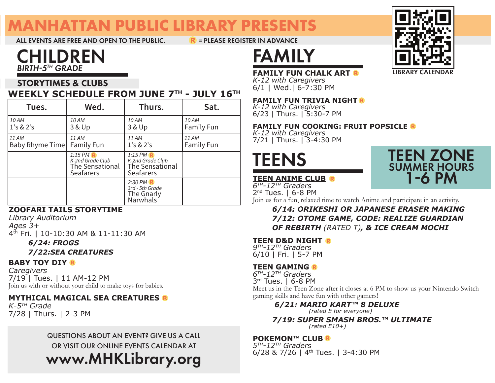# **MANHATTAN PUBLIC LIBRARY PRESENTS**

ALL EVENTS ARE FREE AND OPEN TO THE PUBLIC.  $R = PLEASE REGISTER IN ADVANCE$ 

## CHILDREN *BIRTH5TH GRADE*

#### STORYTIMES & CLUBS **WEEKLY SCHEDULE FROM JUNE 7TH - JULY 16TH**

| Tues.                    | Wed.                                                                   | Thurs.                                                               | Sat.                       |
|--------------------------|------------------------------------------------------------------------|----------------------------------------------------------------------|----------------------------|
| 10 AM<br>1's & 2's       | 10 AM<br>3 & Up                                                        | 10 AM<br>3 & Up                                                      | 10 AM<br><b>Family Fun</b> |
| 11 AM<br>Baby Rhyme Time | 11 AM<br><b>Family Fun</b>                                             | 11 AM<br>1's & 2's                                                   | 11 AM<br><b>Family Fun</b> |
|                          | $1:15$ PM F<br>K-2nd Grade Club<br>The Sensational<br><b>Seafarers</b> | $1:15$ PM<br>K-2nd Grade Club<br>The Sensational<br><b>Seafarers</b> |                            |
|                          |                                                                        | $2:30$ PM $\mathbb{R}$<br>3rd - 5th Grade<br>The Gnarly<br>Narwhals  |                            |

#### **ZOOFARI TAILS STORYTIME**

*Library Auditorium Ages 3+* 4<sup>th</sup> Fri. | 10-10:30 AM & 11-11:30 AM

 *6/24: FROGS*

#### *7/22:SEA CREATURES*

#### **BABY TOY DIY**

*Caregivers* 7/19 | Tues. | 11 AM-12 PM Join us with or without your child to make toys for babies.

#### **MYTHICAL MAGICAL SEA CREATURES**

*K-5TH Grade* 7/28 | Thurs. | 2-3 PM

## www.MHKLibrary.org QUESTIONS ABOUT AN EVENT? GIVE US A CALL OR VISIT OUR ONLINE EVENTS CALENDAR AT



# FAMILY

#### **FAMILY FUN CHALK ART**

*K-12 with Caregivers* 6/1 | Wed.| 6-7:30 PM

#### **FAMILY FUN TRIVIA NIGHT**

*K-12 with Caregivers* 6/23 | Thurs. | 5:30-7 PM

#### **FAMILY FUN COOKING: FRUIT POPSICLE R**

*K-12 with Caregivers* 7/21 | Thurs. | 3-4:30 PM



## TEEN ZONE 1-6 PM SUMMER HOURS

**TEEN ANIME CLUB** *6TH-12TH Graders* 2<sup>nd</sup> Tues. | 6-8 PM



 *6/14: ORIKESHI OR JAPANESE ERASER MAKING 7/12: OTOME GAME, CODE: REALIZE GUARDIAN OF REBIRTH (RATED T), & ICE CREAM MOCHI*

#### **TEEN D&D NIGHT**

*9TH-12TH Graders* 6/10 | Fri. | 5-7 PM

#### **TEEN GAMING**

*6TH-12TH Graders* 3rd Tues. | 6-8 PM Meet us in the Teen Zone after it closes at 6 PM to show us your Nintendo Switch gaming skills and have fun with other gamers!

 *6/21: MARIO KART™ 8 DELUXE (rated E for everyone)*

 *7/19: SUPER SMASH BROS.™ ULTIMATE (rated E10+)*

#### **POKEMON™ CLUB**<sup>R</sup>

*5TH-12TH Graders*